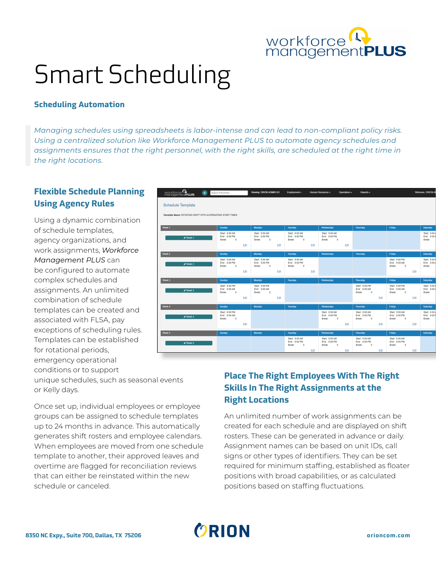

# Smart Scheduling

### **Scheduling Automation**

*Managing schedules using spreadsheets is labor-intense and can lead to non-compliant policy risks. Using a centralized solution like Workforce Management PLUS to automate agency schedules and assignments ensures that the right personnel, with the right skills, are scheduled at the right time in the right locations.*

# **Flexible Schedule Planning Using Agency Rules**

Using a dynamic combination of schedule templates, agency organizations, and work assignments, *Workforce Management PLUS* can be configured to automate complex schedules and assignments. An unlimited combination of schedule templates can be created and associated with FLSA, pay exceptions of scheduling rules. Templates can be established for rotational periods, emergency operational conditions or to support

workforce<sup>Q</sup><br>management**PLUS** K S Schedule Template .<br>me: ROTATING SHIFT WITH ALTERNATING START TIME Start: 6:00 AM<br>End: 6:00 PM<br>Rreak: 0 Start: 6:00 AM<br>End: 6:00 PM Start: 6:00 AM<br>End: 6:00 PM

unique schedules, such as seasonal events or Kelly days.

Once set up, individual employees or employee groups can be assigned to schedule templates up to 24 months in advance. This automatically generates shift rosters and employee calendars. When employees are moved from one schedule template to another, their approved leaves and overtime are flagged for reconciliation reviews that can either be reinstated within the new schedule or canceled.

# **Place The Right Employees With The Right Skills In The Right Assignments at the Right Locations**

An unlimited number of work assignments can be created for each schedule and are displayed on shift rosters. These can be generated in advance or daily. Assignment names can be based on unit IDs, call signs or other types of identifiers. They can be set required for minimum staffing, established as floater positions with broad capabilities, or as calculated positions based on staffing fluctuations.